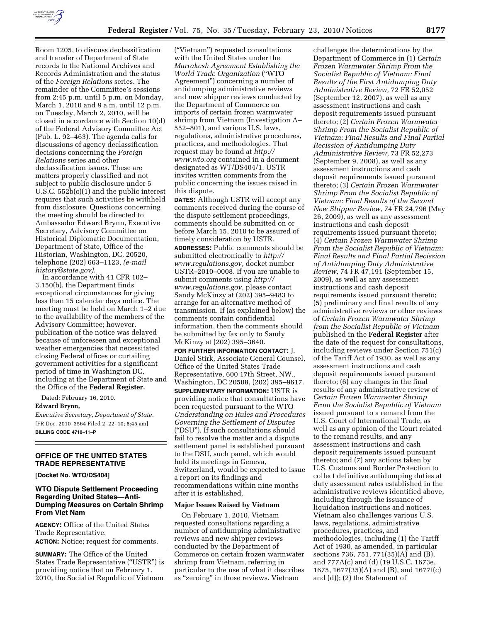

Room 1205, to discuss declassification and transfer of Department of State records to the National Archives and Records Administration and the status of the *Foreign Relations* series. The remainder of the Committee's sessions from 2:45 p.m. until 5 p.m. on Monday, March 1, 2010 and 9 a.m. until 12 p.m. on Tuesday, March 2, 2010, will be closed in accordance with Section 10(d) of the Federal Advisory Committee Act (Pub. L. 92–463). The agenda calls for discussions of agency declassification decisions concerning the *Foreign Relations* series and other declassification issues. These are matters properly classified and not subject to public disclosure under 5 U.S.C. 552b(c)(1) and the public interest requires that such activities be withheld from disclosure. Questions concerning the meeting should be directed to Ambassador Edward Brynn, Executive Secretary, Advisory Committee on Historical Diplomatic Documentation, Department of State, Office of the Historian, Washington, DC, 20520, telephone (202) 663–1123, *(e-mail history@state.gov).* 

In accordance with 41 CFR 102– 3.150(b), the Department finds exceptional circumstances for giving less than 15 calendar days notice. The meeting must be held on March 1–2 due to the availability of the members of the Advisory Committee; however, publication of the notice was delayed because of unforeseen and exceptional weather emergencies that necessitated closing Federal offices or curtailing government activities for a significant period of time in Washington DC, including at the Department of State and the Office of the **Federal Register.** 

Dated: February 16, 2010.

# **Edward Brynn,**

*Executive Secretary, Department of State.*  [FR Doc. 2010–3564 Filed 2–22–10; 8:45 am] **BILLING CODE 4710–11–P** 

### **OFFICE OF THE UNITED STATES TRADE REPRESENTATIVE**

**[Docket No. WTO/DS404]** 

### **WTO Dispute Settlement Proceeding Regarding United States—Anti-Dumping Measures on Certain Shrimp From Viet Nam**

**AGENCY:** Office of the United States Trade Representative. **ACTION:** Notice; request for comments.

**SUMMARY:** The Office of the United States Trade Representative (''USTR'') is providing notice that on February 1, 2010, the Socialist Republic of Vietnam

(''Vietnam'') requested consultations with the United States under the *Marrakesh Agreement Establishing the World Trade Organization* (''WTO Agreement'') concerning a number of antidumping administrative reviews and new shipper reviews conducted by the Department of Commerce on imports of certain frozen warmwater shrimp from Vietnam (Investigation A– 552–801), and various U.S. laws, regulations, administrative procedures, practices, and methodologies. That request may be found at *http:// www.wto.org* contained in a document designated as WT/DS404/1. USTR invites written comments from the public concerning the issues raised in this dispute.

**DATES:** Although USTR will accept any comments received during the course of the dispute settlement proceedings, comments should be submitted on or before March 15, 2010 to be assured of timely consideration by USTR. **ADDRESSES:** Public comments should be

submitted electronically to *http:// www.regulations.gov,* docket number USTR–2010–0008. If you are unable to submit comments using *http:// www.regulations.gov,* please contact Sandy McKinzy at (202) 395–9483 to arrange for an alternative method of transmission. If (as explained below) the comments contain confidential information, then the comments should be submitted by fax only to Sandy McKinzy at (202) 395–3640.

**FOR FURTHER INFORMATION CONTACT:** J. Daniel Stirk, Associate General Counsel, Office of the United States Trade Representative, 600 17th Street, NW., Washington, DC 20508, (202) 395–9617. **SUPPLEMENTARY INFORMATION:** USTR is providing notice that consultations have been requested pursuant to the WTO *Understanding on Rules and Procedures Governing the Settlement of Disputes*  (''DSU''). If such consultations should fail to resolve the matter and a dispute settlement panel is established pursuant to the DSU, such panel, which would hold its meetings in Geneva, Switzerland, would be expected to issue a report on its findings and recommendations within nine months after it is established.

#### **Major Issues Raised by Vietnam**

On February 1, 2010, Vietnam requested consultations regarding a number of antidumping administrative reviews and new shipper reviews conducted by the Department of Commerce on certain frozen warmwater shrimp from Vietnam, referring in particular to the use of what it describes as ''zeroing'' in those reviews. Vietnam

challenges the determinations by the Department of Commerce in (1) *Certain Frozen Warmwater Shrimp From the Socialist Republic of Vietnam: Final Results of the First Antidumping Duty Administrative Review,* 72 FR 52,052 (September 12, 2007), as well as any assessment instructions and cash deposit requirements issued pursuant thereto; (2) *Certain Frozen Warmwater Shrimp From the Socialist Republic of Vietnam: Final Results and Final Partial Recission of Antidumping Duty Administrative Review,* 73 FR 52,273 (September 9, 2008), as well as any assessment instructions and cash deposit requirements issued pursuant thereto; (3) *Certain Frozen Warmwater Shrimp From the Socialist Republic of Vietnam: Final Results of the Second New Shipper Review,* 74 FR 24,796 (May 26, 2009), as well as any assessment instructions and cash deposit requirements issued pursuant thereto; (4) *Certain Frozen Warmwater Shrimp From the Socialist Republic of Vietnam: Final Results and Final Partial Recission of Antidumping Duty Administrative Review,* 74 FR 47,191 (September 15, 2009), as well as any assessment instructions and cash deposit requirements issued pursuant thereto; (5) preliminary and final results of any administrative reviews or other reviews of *Certain Frozen Warmwater Shrimp from the Socialist Republic of Vietnam*  published in the **Federal Register** after the date of the request for consultations, including reviews under Section 751(c) of the Tariff Act of 1930, as well as any assessment instructions and cash deposit requirements issued pursuant thereto; (6) any changes in the final results of any administrative review of *Certain Frozen Warmwater Shrimp From the Socialist Republic of Vietnam*  issued pursuant to a remand from the U.S. Court of International Trade, as well as any opinion of the Court related to the remand results, and any assessment instructions and cash deposit requirements issued pursuant thereto; and (7) any actions taken by U.S. Customs and Border Protection to collect definitive antidumping duties at duty assessment rates established in the administrative reviews identified above, including through the issuance of liquidation instructions and notices. Vietnam also challenges various U.S. laws, regulations, administrative procedures, practices, and methodologies, including (1) the Tariff Act of 1930, as amended, in particular sections 736, 751, 771(35)(A) and (B), and 777A(c) and (d) (19 U.S.C. 1673e, 1675, 1677(35)(A) and (B), and 1677f(c) and (d)); (2) the Statement of